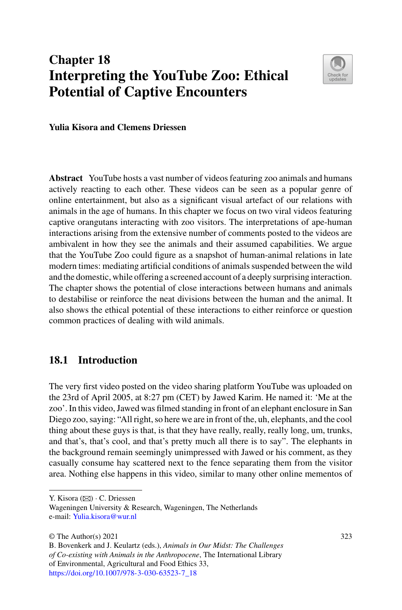# **Chapter 18 Interpreting the YouTube Zoo: Ethical Potential of Captive Encounters**



**Yulia Kisora and Clemens Driessen**

**Abstract** YouTube hosts a vast number of videos featuring zoo animals and humans actively reacting to each other. These videos can be seen as a popular genre of online entertainment, but also as a significant visual artefact of our relations with animals in the age of humans. In this chapter we focus on two viral videos featuring captive orangutans interacting with zoo visitors. The interpretations of ape-human interactions arising from the extensive number of comments posted to the videos are ambivalent in how they see the animals and their assumed capabilities. We argue that the YouTube Zoo could figure as a snapshot of human-animal relations in late modern times: mediating artificial conditions of animals suspended between the wild and the domestic, while offering a screened account of a deeply surprising interaction. The chapter shows the potential of close interactions between humans and animals to destabilise or reinforce the neat divisions between the human and the animal. It also shows the ethical potential of these interactions to either reinforce or question common practices of dealing with wild animals.

### **18.1 Introduction**

The very first video posted on the video sharing platform YouTube was uploaded on the 23rd of April 2005, at 8:27 pm (CET) by Jawed Karim. He named it: 'Me at the zoo'. In this video, Jawed was filmed standing in front of an elephant enclosure in San Diego zoo, saying: "All right, so here we are in front of the, uh, elephants, and the cool thing about these guys is that, is that they have really, really, really long, um, trunks, and that's, that's cool, and that's pretty much all there is to say". The elephants in the background remain seemingly unimpressed with Jawed or his comment, as they casually consume hay scattered next to the fence separating them from the visitor area. Nothing else happens in this video, similar to many other online mementos of

Y. Kisora (⊠) · C. Driessen

Wageningen University & Research, Wageningen, The Netherlands e-mail: [Yulia.kisora@wur.nl](mailto:Yulia.kisora@wur.nl)

<sup>©</sup> The Author(s) 2021

B. Bovenkerk and J. Keulartz (eds.), *Animals in Our Midst: The Challenges of Co-existing with Animals in the Anthropocene*, The International Library of Environmental, Agricultural and Food Ethics 33, [https://doi.org/10.1007/978-3-030-63523-7\\_18](https://doi.org/10.1007/978-3-030-63523-7_18)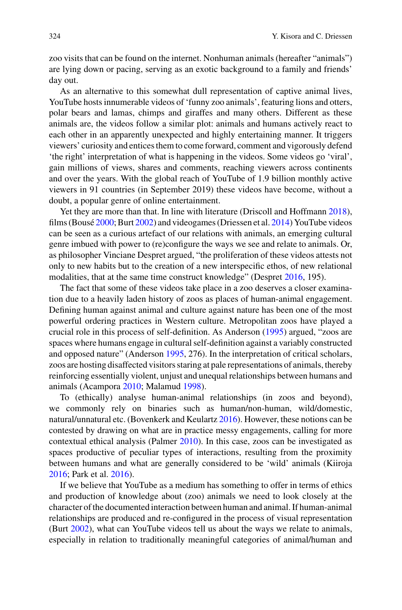zoo visits that can be found on the internet. Nonhuman animals (hereafter "animals") are lying down or pacing, serving as an exotic background to a family and friends' day out.

As an alternative to this somewhat dull representation of captive animal lives, YouTube hosts innumerable videos of 'funny zoo animals', featuring lions and otters, polar bears and lamas, chimps and giraffes and many others. Different as these animals are, the videos follow a similar plot: animals and humans actively react to each other in an apparently unexpected and highly entertaining manner. It triggers viewers' curiosity and entices them to come forward, comment and vigorously defend 'the right' interpretation of what is happening in the videos. Some videos go 'viral', gain millions of views, shares and comments, reaching viewers across continents and over the years. With the global reach of YouTube of 1.9 billion monthly active viewers in 91 countries (in September 2019) these videos have become, without a doubt, a popular genre of online entertainment.

Yet they are more than that. In line with literature (Driscoll and Hoffmann [2018\)](#page-16-0), films (Bousé [2000;](#page-15-0) Burt [2002\)](#page-15-1) and videogames (Driessen et al. [2014\)](#page-16-1) YouTube videos can be seen as a curious artefact of our relations with animals, an emerging cultural genre imbued with power to (re)configure the ways we see and relate to animals. Or, as philosopher Vinciane Despret argued, "the proliferation of these videos attests not only to new habits but to the creation of a new interspecific ethos, of new relational modalities, that at the same time construct knowledge" (Despret [2016,](#page-16-2) 195).

The fact that some of these videos take place in a zoo deserves a closer examination due to a heavily laden history of zoos as places of human-animal engagement. Defining human against animal and culture against nature has been one of the most powerful ordering practices in Western culture. Metropolitan zoos have played a crucial role in this process of self-definition. As Anderson [\(1995\)](#page-15-2) argued, "zoos are spaces where humans engage in cultural self-definition against a variably constructed and opposed nature" (Anderson [1995,](#page-15-2) 276). In the interpretation of critical scholars, zoos are hosting disaffected visitors staring at pale representations of animals, thereby reinforcing essentially violent, unjust and unequal relationships between humans and animals (Acampora [2010;](#page-15-3) Malamud [1998\)](#page-16-3).

To (ethically) analyse human-animal relationships (in zoos and beyond), we commonly rely on binaries such as human/non-human, wild/domestic, natural/unnatural etc. (Bovenkerk and Keulartz [2016\)](#page-15-4). However, these notions can be contested by drawing on what are in practice messy engagements, calling for more contextual ethical analysis (Palmer [2010\)](#page-16-4). In this case, zoos can be investigated as spaces productive of peculiar types of interactions, resulting from the proximity between humans and what are generally considered to be 'wild' animals (Kiiroja [2016;](#page-16-5) Park et al. [2016\)](#page-16-6).

If we believe that YouTube as a medium has something to offer in terms of ethics and production of knowledge about (zoo) animals we need to look closely at the character of the documented interaction between human and animal. If human-animal relationships are produced and re-configured in the process of visual representation (Burt [2002\)](#page-15-1), what can YouTube videos tell us about the ways we relate to animals, especially in relation to traditionally meaningful categories of animal/human and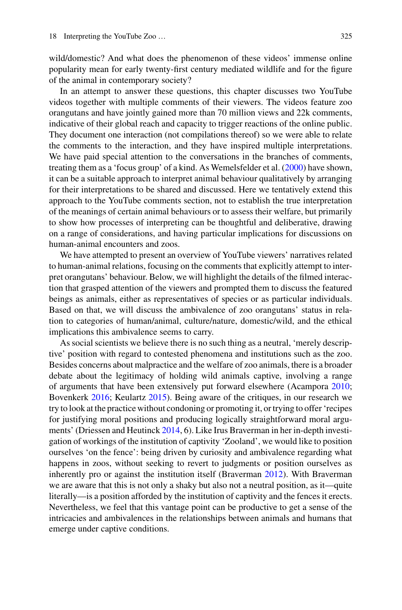wild/domestic? And what does the phenomenon of these videos' immense online popularity mean for early twenty-first century mediated wildlife and for the figure of the animal in contemporary society?

In an attempt to answer these questions, this chapter discusses two YouTube videos together with multiple comments of their viewers. The videos feature zoo orangutans and have jointly gained more than 70 million views and 22k comments, indicative of their global reach and capacity to trigger reactions of the online public. They document one interaction (not compilations thereof) so we were able to relate the comments to the interaction, and they have inspired multiple interpretations. We have paid special attention to the conversations in the branches of comments, treating them as a 'focus group' of a kind. As Wemelsfelder et al. [\(2000\)](#page-17-0) have shown, it can be a suitable approach to interpret animal behaviour qualitatively by arranging for their interpretations to be shared and discussed. Here we tentatively extend this approach to the YouTube comments section, not to establish the true interpretation of the meanings of certain animal behaviours or to assess their welfare, but primarily to show how processes of interpreting can be thoughtful and deliberative, drawing on a range of considerations, and having particular implications for discussions on human-animal encounters and zoos.

We have attempted to present an overview of YouTube viewers' narratives related to human-animal relations, focusing on the comments that explicitly attempt to interpret orangutans' behaviour. Below, we will highlight the details of the filmed interaction that grasped attention of the viewers and prompted them to discuss the featured beings as animals, either as representatives of species or as particular individuals. Based on that, we will discuss the ambivalence of zoo orangutans' status in relation to categories of human/animal, culture/nature, domestic/wild, and the ethical implications this ambivalence seems to carry.

As social scientists we believe there is no such thing as a neutral, 'merely descriptive' position with regard to contested phenomena and institutions such as the zoo. Besides concerns about malpractice and the welfare of zoo animals, there is a broader debate about the legitimacy of holding wild animals captive, involving a range of arguments that have been extensively put forward elsewhere (Acampora [2010;](#page-15-3) Bovenkerk [2016;](#page-15-5) Keulartz [2015\)](#page-16-7). Being aware of the critiques, in our research we try to look at the practice without condoning or promoting it, or trying to offer 'recipes for justifying moral positions and producing logically straightforward moral arguments' (Driessen and Heutinck [2014,](#page-16-8) 6). Like Irus Braverman in her in-depth investigation of workings of the institution of captivity 'Zooland', we would like to position ourselves 'on the fence': being driven by curiosity and ambivalence regarding what happens in zoos, without seeking to revert to judgments or position ourselves as inherently pro or against the institution itself (Braverman [2012\)](#page-15-6). With Braverman we are aware that this is not only a shaky but also not a neutral position, as it—quite literally—is a position afforded by the institution of captivity and the fences it erects. Nevertheless, we feel that this vantage point can be productive to get a sense of the intricacies and ambivalences in the relationships between animals and humans that emerge under captive conditions.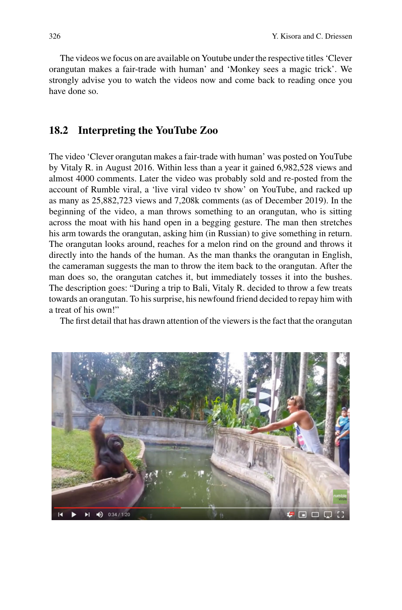The videos we focus on are available on Youtube under the respective titles 'Clever orangutan makes a fair-trade with human' and 'Monkey sees a magic trick'. We strongly advise you to watch the videos now and come back to reading once you have done so.

### **18.2 Interpreting the YouTube Zoo**

The video 'Clever orangutan makes a fair-trade with human' was posted on YouTube by Vitaly R. in August 2016. Within less than a year it gained 6,982,528 views and almost 4000 comments. Later the video was probably sold and re-posted from the account of Rumble viral, a 'live viral video tv show' on YouTube, and racked up as many as 25,882,723 views and 7,208k comments (as of December 2019). In the beginning of the video, a man throws something to an orangutan, who is sitting across the moat with his hand open in a begging gesture. The man then stretches his arm towards the orangutan, asking him (in Russian) to give something in return. The orangutan looks around, reaches for a melon rind on the ground and throws it directly into the hands of the human. As the man thanks the orangutan in English, the cameraman suggests the man to throw the item back to the orangutan. After the man does so, the orangutan catches it, but immediately tosses it into the bushes. The description goes: "During a trip to Bali, Vitaly R. decided to throw a few treats towards an orangutan. To his surprise, his newfound friend decided to repay him with a treat of his own!"

The first detail that has drawn attention of the viewers is the fact that the orangutan

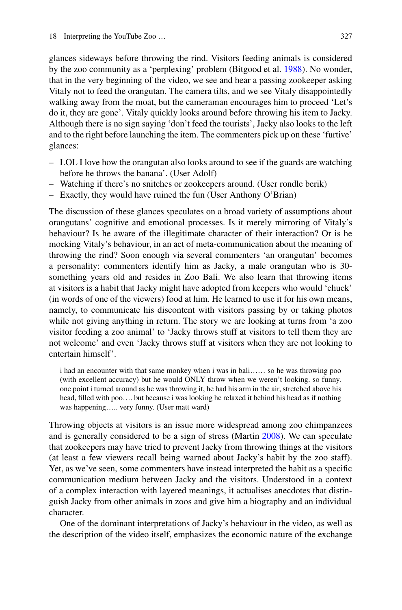glances sideways before throwing the rind. Visitors feeding animals is considered by the zoo community as a 'perplexing' problem (Bitgood et al. [1988\)](#page-15-7). No wonder, that in the very beginning of the video, we see and hear a passing zookeeper asking Vitaly not to feed the orangutan. The camera tilts, and we see Vitaly disappointedly walking away from the moat, but the cameraman encourages him to proceed 'Let's do it, they are gone'. Vitaly quickly looks around before throwing his item to Jacky. Although there is no sign saying 'don't feed the tourists', Jacky also looks to the left and to the right before launching the item. The commenters pick up on these 'furtive' glances:

- LOL I love how the orangutan also looks around to see if the guards are watching before he throws the banana'. (User Adolf)
- Watching if there's no snitches or zookeepers around. (User rondle berik)
- Exactly, they would have ruined the fun (User Anthony O'Brian)

The discussion of these glances speculates on a broad variety of assumptions about orangutans' cognitive and emotional processes. Is it merely mirroring of Vitaly's behaviour? Is he aware of the illegitimate character of their interaction? Or is he mocking Vitaly's behaviour, in an act of meta-communication about the meaning of throwing the rind? Soon enough via several commenters 'an orangutan' becomes a personality: commenters identify him as Jacky, a male orangutan who is 30 something years old and resides in Zoo Bali. We also learn that throwing items at visitors is a habit that Jacky might have adopted from keepers who would 'chuck' (in words of one of the viewers) food at him. He learned to use it for his own means, namely, to communicate his discontent with visitors passing by or taking photos while not giving anything in return. The story we are looking at turns from 'a zoo visitor feeding a zoo animal' to 'Jacky throws stuff at visitors to tell them they are not welcome' and even 'Jacky throws stuff at visitors when they are not looking to entertain himself'.

i had an encounter with that same monkey when i was in bali…… so he was throwing poo (with excellent accuracy) but he would ONLY throw when we weren't looking. so funny. one point i turned around as he was throwing it, he had his arm in the air, stretched above his head, filled with poo…. but because i was looking he relaxed it behind his head as if nothing was happening….. very funny. (User matt ward)

Throwing objects at visitors is an issue more widespread among zoo chimpanzees and is generally considered to be a sign of stress (Martin [2008\)](#page-16-9). We can speculate that zookeepers may have tried to prevent Jacky from throwing things at the visitors (at least a few viewers recall being warned about Jacky's habit by the zoo staff). Yet, as we've seen, some commenters have instead interpreted the habit as a specific communication medium between Jacky and the visitors. Understood in a context of a complex interaction with layered meanings, it actualises anecdotes that distinguish Jacky from other animals in zoos and give him a biography and an individual character.

One of the dominant interpretations of Jacky's behaviour in the video, as well as the description of the video itself, emphasizes the economic nature of the exchange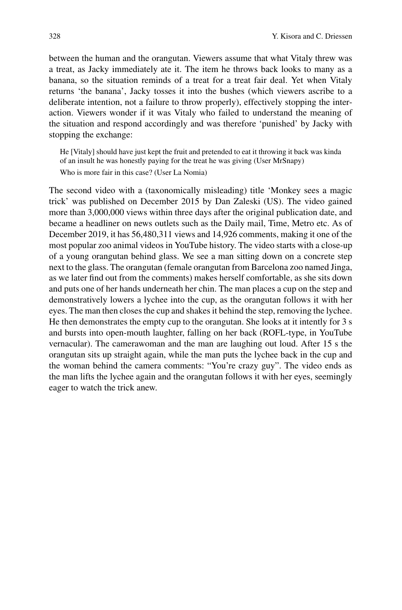between the human and the orangutan. Viewers assume that what Vitaly threw was a treat, as Jacky immediately ate it. The item he throws back looks to many as a banana, so the situation reminds of a treat for a treat fair deal. Yet when Vitaly returns 'the banana', Jacky tosses it into the bushes (which viewers ascribe to a deliberate intention, not a failure to throw properly), effectively stopping the interaction. Viewers wonder if it was Vitaly who failed to understand the meaning of the situation and respond accordingly and was therefore 'punished' by Jacky with stopping the exchange:

He [Vitaly] should have just kept the fruit and pretended to eat it throwing it back was kinda of an insult he was honestly paying for the treat he was giving (User MrSnapy) Who is more fair in this case? (User La Nomia)

The second video with a (taxonomically misleading) title 'Monkey sees a magic trick' was published on December 2015 by Dan Zaleski (US). The video gained more than 3,000,000 views within three days after the original publication date, and became a headliner on news outlets such as the Daily mail, Time, Metro etc. As of December 2019, it has 56,480,311 views and 14,926 comments, making it one of the most popular zoo animal videos in YouTube history. The video starts with a close-up of a young orangutan behind glass. We see a man sitting down on a concrete step next to the glass. The orangutan (female orangutan from Barcelona zoo named Jinga, as we later find out from the comments) makes herself comfortable, as she sits down and puts one of her hands underneath her chin. The man places a cup on the step and demonstratively lowers a lychee into the cup, as the orangutan follows it with her eyes. The man then closes the cup and shakes it behind the step, removing the lychee. He then demonstrates the empty cup to the orangutan. She looks at it intently for 3 s and bursts into open-mouth laughter, falling on her back (ROFL-type, in YouTube vernacular). The camerawoman and the man are laughing out loud. After 15 s the orangutan sits up straight again, while the man puts the lychee back in the cup and the woman behind the camera comments: "You're crazy guy". The video ends as the man lifts the lychee again and the orangutan follows it with her eyes, seemingly eager to watch the trick anew.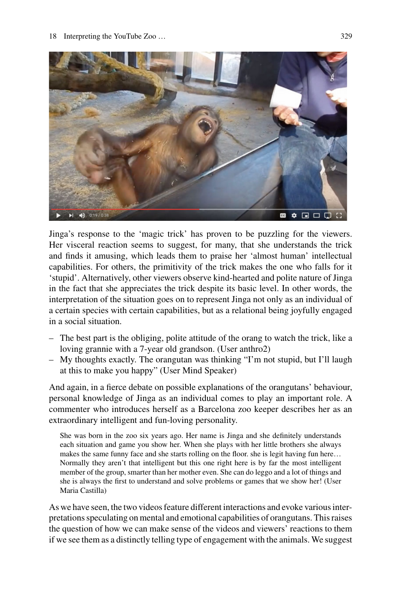

Jinga's response to the 'magic trick' has proven to be puzzling for the viewers. Her visceral reaction seems to suggest, for many, that she understands the trick and finds it amusing, which leads them to praise her 'almost human' intellectual capabilities. For others, the primitivity of the trick makes the one who falls for it 'stupid'. Alternatively, other viewers observe kind-hearted and polite nature of Jinga in the fact that she appreciates the trick despite its basic level. In other words, the interpretation of the situation goes on to represent Jinga not only as an individual of a certain species with certain capabilities, but as a relational being joyfully engaged in a social situation.

- The best part is the obliging, polite attitude of the orang to watch the trick, like a loving grannie with a 7-year old grandson. (User anthro2)
- My thoughts exactly. The orangutan was thinking "I'm not stupid, but I'll laugh at this to make you happy" (User Mind Speaker)

And again, in a fierce debate on possible explanations of the orangutans' behaviour, personal knowledge of Jinga as an individual comes to play an important role. A commenter who introduces herself as a Barcelona zoo keeper describes her as an extraordinary intelligent and fun-loving personality.

She was born in the zoo six years ago. Her name is Jinga and she definitely understands each situation and game you show her. When she plays with her little brothers she always makes the same funny face and she starts rolling on the floor. she is legit having fun here… Normally they aren't that intelligent but this one right here is by far the most intelligent member of the group, smarter than her mother even. She can do leggo and a lot of things and she is always the first to understand and solve problems or games that we show her! (User Maria Castilla)

As we have seen, the two videos feature different interactions and evoke various interpretations speculating on mental and emotional capabilities of orangutans. This raises the question of how we can make sense of the videos and viewers' reactions to them if we see them as a distinctly telling type of engagement with the animals. We suggest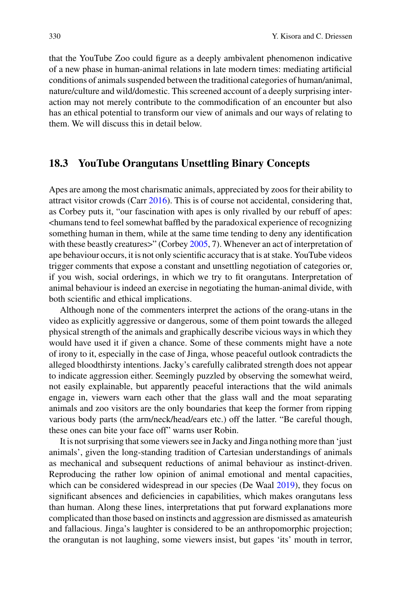that the YouTube Zoo could figure as a deeply ambivalent phenomenon indicative of a new phase in human-animal relations in late modern times: mediating artificial conditions of animals suspended between the traditional categories of human/animal, nature/culture and wild/domestic. This screened account of a deeply surprising interaction may not merely contribute to the commodification of an encounter but also has an ethical potential to transform our view of animals and our ways of relating to them. We will discuss this in detail below.

#### **18.3 YouTube Orangutans Unsettling Binary Concepts**

Apes are among the most charismatic animals, appreciated by zoos for their ability to attract visitor crowds (Carr [2016\)](#page-15-8). This is of course not accidental, considering that, as Corbey puts it, "our fascination with apes is only rivalled by our rebuff of apes: <humans tend to feel somewhat baffled by the paradoxical experience of recognizing something human in them, while at the same time tending to deny any identification with these beastly creatures>" (Corbey [2005,](#page-16-10) 7). Whenever an act of interpretation of ape behaviour occurs, it is not only scientific accuracy that is at stake. YouTube videos trigger comments that expose a constant and unsettling negotiation of categories or, if you wish, social orderings, in which we try to fit orangutans. Interpretation of animal behaviour is indeed an exercise in negotiating the human-animal divide, with both scientific and ethical implications.

Although none of the commenters interpret the actions of the orang-utans in the video as explicitly aggressive or dangerous, some of them point towards the alleged physical strength of the animals and graphically describe vicious ways in which they would have used it if given a chance. Some of these comments might have a note of irony to it, especially in the case of Jinga, whose peaceful outlook contradicts the alleged bloodthirsty intentions. Jacky's carefully calibrated strength does not appear to indicate aggression either. Seemingly puzzled by observing the somewhat weird, not easily explainable, but apparently peaceful interactions that the wild animals engage in, viewers warn each other that the glass wall and the moat separating animals and zoo visitors are the only boundaries that keep the former from ripping various body parts (the arm/neck/head/ears etc.) off the latter. "Be careful though, these ones can bite your face off" warns user Robin.

It is not surprising that some viewers see in Jacky and Jinga nothing more than 'just animals', given the long-standing tradition of Cartesian understandings of animals as mechanical and subsequent reductions of animal behaviour as instinct-driven. Reproducing the rather low opinion of animal emotional and mental capacities, which can be considered widespread in our species (De Waal [2019\)](#page-16-11), they focus on significant absences and deficiencies in capabilities, which makes orangutans less than human. Along these lines, interpretations that put forward explanations more complicated than those based on instincts and aggression are dismissed as amateurish and fallacious. Jinga's laughter is considered to be an anthropomorphic projection; the orangutan is not laughing, some viewers insist, but gapes 'its' mouth in terror,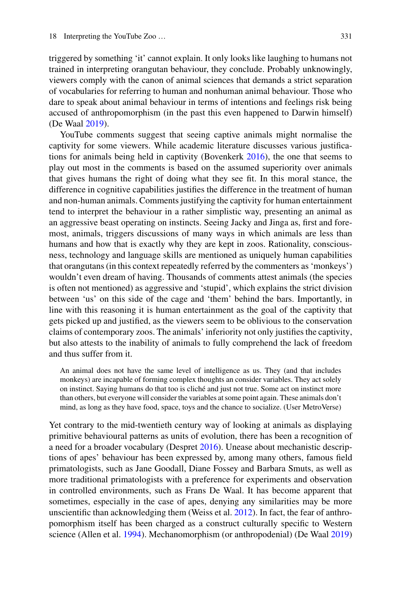triggered by something 'it' cannot explain. It only looks like laughing to humans not trained in interpreting orangutan behaviour, they conclude. Probably unknowingly, viewers comply with the canon of animal sciences that demands a strict separation of vocabularies for referring to human and nonhuman animal behaviour. Those who dare to speak about animal behaviour in terms of intentions and feelings risk being accused of anthropomorphism (in the past this even happened to Darwin himself) (De Waal [2019\)](#page-16-11).

YouTube comments suggest that seeing captive animals might normalise the captivity for some viewers. While academic literature discusses various justifications for animals being held in captivity (Bovenkerk [2016\)](#page-15-5), the one that seems to play out most in the comments is based on the assumed superiority over animals that gives humans the right of doing what they see fit. In this moral stance, the difference in cognitive capabilities justifies the difference in the treatment of human and non-human animals. Comments justifying the captivity for human entertainment tend to interpret the behaviour in a rather simplistic way, presenting an animal as an aggressive beast operating on instincts. Seeing Jacky and Jinga as, first and foremost, animals, triggers discussions of many ways in which animals are less than humans and how that is exactly why they are kept in zoos. Rationality, consciousness, technology and language skills are mentioned as uniquely human capabilities that orangutans (in this context repeatedly referred by the commenters as 'monkeys') wouldn't even dream of having. Thousands of comments attest animals (the species is often not mentioned) as aggressive and 'stupid', which explains the strict division between 'us' on this side of the cage and 'them' behind the bars. Importantly, in line with this reasoning it is human entertainment as the goal of the captivity that gets picked up and justified, as the viewers seem to be oblivious to the conservation claims of contemporary zoos. The animals' inferiority not only justifies the captivity, but also attests to the inability of animals to fully comprehend the lack of freedom and thus suffer from it.

An animal does not have the same level of intelligence as us. They (and that includes monkeys) are incapable of forming complex thoughts an consider variables. They act solely on instinct. Saying humans do that too is cliché and just not true. Some act on instinct more than others, but everyone will consider the variables at some point again. These animals don't mind, as long as they have food, space, toys and the chance to socialize. (User MetroVerse)

Yet contrary to the mid-twentieth century way of looking at animals as displaying primitive behavioural patterns as units of evolution, there has been a recognition of a need for a broader vocabulary (Despret [2016\)](#page-16-2). Unease about mechanistic descriptions of apes' behaviour has been expressed by, among many others, famous field primatologists, such as Jane Goodall, Diane Fossey and Barbara Smuts, as well as more traditional primatologists with a preference for experiments and observation in controlled environments, such as Frans De Waal. It has become apparent that sometimes, especially in the case of apes, denying any similarities may be more unscientific than acknowledging them (Weiss et al. [2012\)](#page-17-1). In fact, the fear of anthropomorphism itself has been charged as a construct culturally specific to Western science (Allen et al. [1994\)](#page-15-9). Mechanomorphism (or anthropodenial) (De Waal [2019\)](#page-16-11)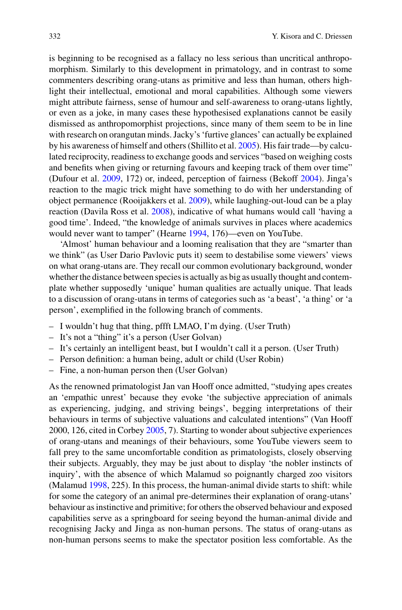is beginning to be recognised as a fallacy no less serious than uncritical anthropomorphism. Similarly to this development in primatology, and in contrast to some commenters describing orang-utans as primitive and less than human, others highlight their intellectual, emotional and moral capabilities. Although some viewers might attribute fairness, sense of humour and self-awareness to orang-utans lightly, or even as a joke, in many cases these hypothesised explanations cannot be easily dismissed as anthropomorphist projections, since many of them seem to be in line with research on orangutan minds. Jacky's 'furtive glances' can actually be explained by his awareness of himself and others (Shillito et al. [2005\)](#page-16-12). His fair trade—by calculated reciprocity, readiness to exchange goods and services "based on weighing costs and benefits when giving or returning favours and keeping track of them over time" (Dufour et al. [2009,](#page-16-13) 172) or, indeed, perception of fairness (Bekoff [2004\)](#page-15-10). Jinga's reaction to the magic trick might have something to do with her understanding of object permanence (Rooijakkers et al. [2009\)](#page-16-14), while laughing-out-loud can be a play reaction (Davila Ross et al. [2008\)](#page-16-15), indicative of what humans would call 'having a good time'. Indeed, "the knowledge of animals survives in places where academics would never want to tamper" (Hearne [1994,](#page-16-16) 176)—even on YouTube.

'Almost' human behaviour and a looming realisation that they are "smarter than we think" (as User Dario Pavlovic puts it) seem to destabilise some viewers' views on what orang-utans are. They recall our common evolutionary background, wonder whether the distance between species is actually as big as usually thought and contemplate whether supposedly 'unique' human qualities are actually unique. That leads to a discussion of orang-utans in terms of categories such as 'a beast', 'a thing' or 'a person', exemplified in the following branch of comments.

- I wouldn't hug that thing, pffft LMAO, I'm dying. (User Truth)
- It's not a "thing" it's a person (User Golvan)
- It's certainly an intelligent beast, but I wouldn't call it a person. (User Truth)
- Person definition: a human being, adult or child (User Robin)
- Fine, a non-human person then (User Golvan)

As the renowned primatologist Jan van Hooff once admitted, "studying apes creates an 'empathic unrest' because they evoke 'the subjective appreciation of animals as experiencing, judging, and striving beings', begging interpretations of their behaviours in terms of subjective valuations and calculated intentions" (Van Hooff 2000, 126, cited in Corbey [2005,](#page-16-10) 7). Starting to wonder about subjective experiences of orang-utans and meanings of their behaviours, some YouTube viewers seem to fall prey to the same uncomfortable condition as primatologists, closely observing their subjects. Arguably, they may be just about to display 'the nobler instincts of inquiry', with the absence of which Malamud so poignantly charged zoo visitors (Malamud [1998,](#page-16-3) 225). In this process, the human-animal divide starts to shift: while for some the category of an animal pre-determines their explanation of orang-utans' behaviour as instinctive and primitive; for others the observed behaviour and exposed capabilities serve as a springboard for seeing beyond the human-animal divide and recognising Jacky and Jinga as non-human persons. The status of orang-utans as non-human persons seems to make the spectator position less comfortable. As the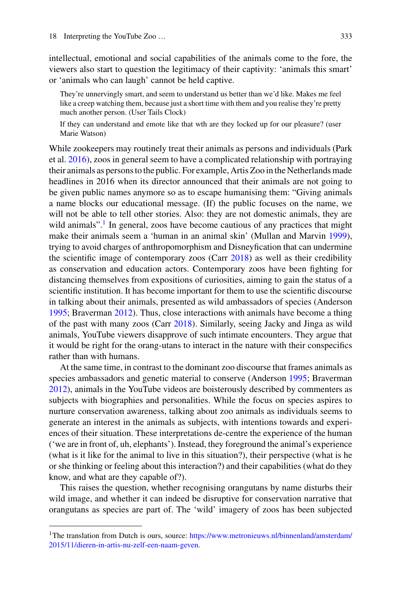intellectual, emotional and social capabilities of the animals come to the fore, the viewers also start to question the legitimacy of their captivity: 'animals this smart' or 'animals who can laugh' cannot be held captive.

They're unnervingly smart, and seem to understand us better than we'd like. Makes me feel like a creep watching them, because just a short time with them and you realise they're pretty much another person. (User Tails Clock)

If they can understand and emote like that wth are they locked up for our pleasure? (user Marie Watson)

While zookeepers may routinely treat their animals as persons and individuals (Park et al. [2016\)](#page-16-6), zoos in general seem to have a complicated relationship with portraying their animals as persons to the public. For example, Artis Zoo in the Netherlands made headlines in 2016 when its director announced that their animals are not going to be given public names anymore so as to escape humanising them: "Giving animals a name blocks our educational message. (If) the public focuses on the name, we will not be able to tell other stories. Also: they are not domestic animals, they are wild animals".<sup>[1](#page-10-0)</sup> In general, zoos have become cautious of any practices that might make their animals seem a 'human in an animal skin' (Mullan and Marvin [1999\)](#page-16-17), trying to avoid charges of anthropomorphism and Disneyfication that can undermine the scientific image of contemporary zoos (Carr [2018\)](#page-15-11) as well as their credibility as conservation and education actors. Contemporary zoos have been fighting for distancing themselves from expositions of curiosities, aiming to gain the status of a scientific institution. It has become important for them to use the scientific discourse in talking about their animals, presented as wild ambassadors of species (Anderson [1995;](#page-15-2) Braverman [2012\)](#page-15-6). Thus, close interactions with animals have become a thing of the past with many zoos (Carr [2018\)](#page-15-11). Similarly, seeing Jacky and Jinga as wild animals, YouTube viewers disapprove of such intimate encounters. They argue that it would be right for the orang-utans to interact in the nature with their conspecifics rather than with humans.

At the same time, in contrast to the dominant zoo discourse that frames animals as species ambassadors and genetic material to conserve (Anderson [1995;](#page-15-2) Braverman [2012\)](#page-15-6), animals in the YouTube videos are boisterously described by commenters as subjects with biographies and personalities. While the focus on species aspires to nurture conservation awareness, talking about zoo animals as individuals seems to generate an interest in the animals as subjects, with intentions towards and experiences of their situation. These interpretations de-centre the experience of the human ('we are in front of, uh, elephants'). Instead, they foreground the animal's experience (what is it like for the animal to live in this situation?), their perspective (what is he or she thinking or feeling about this interaction?) and their capabilities (what do they know, and what are they capable of?).

This raises the question, whether recognising orangutans by name disturbs their wild image, and whether it can indeed be disruptive for conservation narrative that orangutans as species are part of. The 'wild' imagery of zoos has been subjected

<span id="page-10-0"></span><sup>1</sup>The translation from Dutch is ours, source: [https://www.metronieuws.nl/binnenland/amsterdam/](https://www.metronieuws.nl/binnenland/amsterdam/2015/11/dieren-in-artis-nu-zelf-een-naam-geven) 2015/11/dieren-in-artis-nu-zelf-een-naam-geven.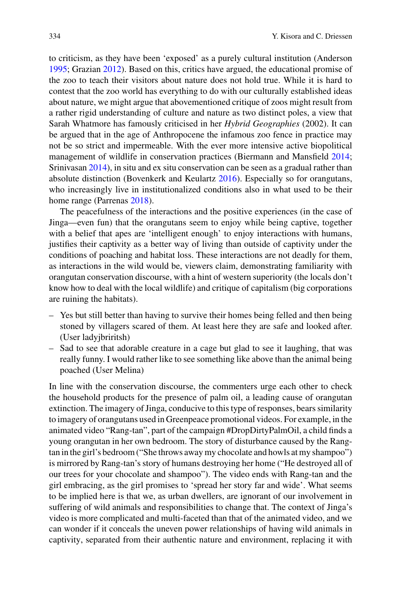to criticism, as they have been 'exposed' as a purely cultural institution (Anderson [1995;](#page-15-2) Grazian [2012\)](#page-16-18). Based on this, critics have argued, the educational promise of the zoo to teach their visitors about nature does not hold true. While it is hard to contest that the zoo world has everything to do with our culturally established ideas about nature, we might argue that abovementioned critique of zoos might result from a rather rigid understanding of culture and nature as two distinct poles, a view that Sarah Whatmore has famously criticised in her *Hybrid Geographies* (2002). It can be argued that in the age of Anthropocene the infamous zoo fence in practice may not be so strict and impermeable. With the ever more intensive active biopolitical management of wildlife in conservation practices (Biermann and Mansfield [2014;](#page-15-12) Srinivasan [2014\)](#page-17-2), in situ and ex situ conservation can be seen as a gradual rather than absolute distinction (Bovenkerk and Keulartz [2016\)](#page-15-4). Especially so for orangutans, who increasingly live in institutionalized conditions also in what used to be their home range (Parrenas [2018\)](#page-16-19).

The peacefulness of the interactions and the positive experiences (in the case of Jinga—even fun) that the orangutans seem to enjoy while being captive, together with a belief that apes are 'intelligent enough' to enjoy interactions with humans, justifies their captivity as a better way of living than outside of captivity under the conditions of poaching and habitat loss. These interactions are not deadly for them, as interactions in the wild would be, viewers claim, demonstrating familiarity with orangutan conservation discourse, with a hint of western superiority (the locals don't know how to deal with the local wildlife) and critique of capitalism (big corporations are ruining the habitats).

- Yes but still better than having to survive their homes being felled and then being stoned by villagers scared of them. At least here they are safe and looked after. (User ladyjbriritsh)
- Sad to see that adorable creature in a cage but glad to see it laughing, that was really funny. I would rather like to see something like above than the animal being poached (User Melina)

In line with the conservation discourse, the commenters urge each other to check the household products for the presence of palm oil, a leading cause of orangutan extinction. The imagery of Jinga, conducive to this type of responses, bears similarity to imagery of orangutans used in Greenpeace promotional videos. For example, in the animated video "Rang-tan", part of the campaign #DropDirtyPalmOil, a child finds a young orangutan in her own bedroom. The story of disturbance caused by the Rangtan in the girl's bedroom ("She throws away my chocolate and howls at my shampoo") is mirrored by Rang-tan's story of humans destroying her home ("He destroyed all of our trees for your chocolate and shampoo"). The video ends with Rang-tan and the girl embracing, as the girl promises to 'spread her story far and wide'. What seems to be implied here is that we, as urban dwellers, are ignorant of our involvement in suffering of wild animals and responsibilities to change that. The context of Jinga's video is more complicated and multi-faceted than that of the animated video, and we can wonder if it conceals the uneven power relationships of having wild animals in captivity, separated from their authentic nature and environment, replacing it with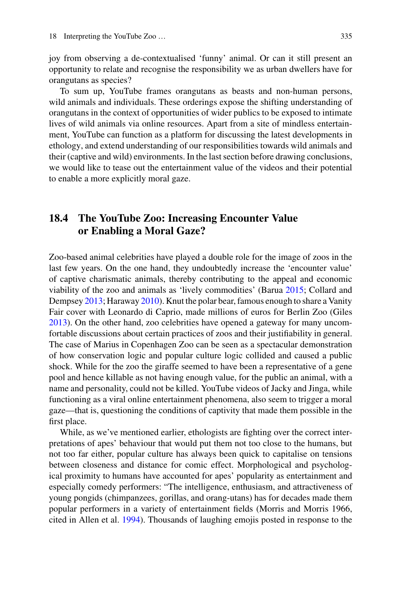joy from observing a de-contextualised 'funny' animal. Or can it still present an opportunity to relate and recognise the responsibility we as urban dwellers have for orangutans as species?

To sum up, YouTube frames orangutans as beasts and non-human persons, wild animals and individuals. These orderings expose the shifting understanding of orangutans in the context of opportunities of wider publics to be exposed to intimate lives of wild animals via online resources. Apart from a site of mindless entertainment, YouTube can function as a platform for discussing the latest developments in ethology, and extend understanding of our responsibilities towards wild animals and their (captive and wild) environments. In the last section before drawing conclusions, we would like to tease out the entertainment value of the videos and their potential to enable a more explicitly moral gaze.

## **18.4 The YouTube Zoo: Increasing Encounter Value or Enabling a Moral Gaze?**

Zoo-based animal celebrities have played a double role for the image of zoos in the last few years. On the one hand, they undoubtedly increase the 'encounter value' of captive charismatic animals, thereby contributing to the appeal and economic viability of the zoo and animals as 'lively commodities' (Barua [2015;](#page-15-13) Collard and Dempsey [2013;](#page-15-14) Haraway [2010\)](#page-16-20). Knut the polar bear, famous enough to share a Vanity Fair cover with Leonardo di Caprio, made millions of euros for Berlin Zoo (Giles [2013\)](#page-16-21). On the other hand, zoo celebrities have opened a gateway for many uncomfortable discussions about certain practices of zoos and their justifiability in general. The case of Marius in Copenhagen Zoo can be seen as a spectacular demonstration of how conservation logic and popular culture logic collided and caused a public shock. While for the zoo the giraffe seemed to have been a representative of a gene pool and hence killable as not having enough value, for the public an animal, with a name and personality, could not be killed. YouTube videos of Jacky and Jinga, while functioning as a viral online entertainment phenomena, also seem to trigger a moral gaze—that is, questioning the conditions of captivity that made them possible in the first place.

While, as we've mentioned earlier, ethologists are fighting over the correct interpretations of apes' behaviour that would put them not too close to the humans, but not too far either, popular culture has always been quick to capitalise on tensions between closeness and distance for comic effect. Morphological and psychological proximity to humans have accounted for apes' popularity as entertainment and especially comedy performers: "The intelligence, enthusiasm, and attractiveness of young pongids (chimpanzees, gorillas, and orang-utans) has for decades made them popular performers in a variety of entertainment fields (Morris and Morris 1966, cited in Allen et al. [1994\)](#page-15-9). Thousands of laughing emojis posted in response to the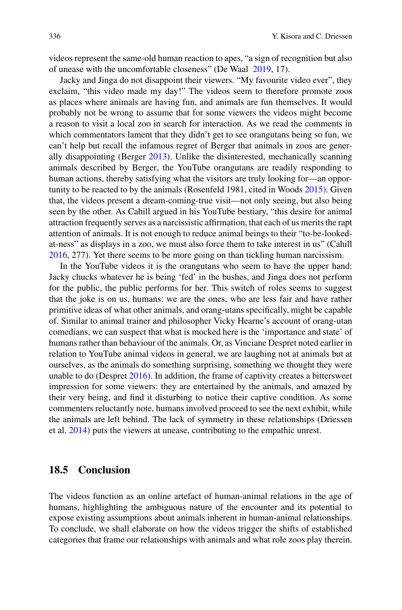videos represent the same-old human reaction to apes, "a sign of recognition but also of unease with the uncomfortable closeness" (De Waal [2019,](#page-16-11) 17).

Jacky and Jinga do not disappoint their viewers. "My favourite video ever", they exclaim, "this video made my day!" The videos seem to therefore promote zoos as places where animals are having fun, and animals are fun themselves. It would probably not be wrong to assume that for some viewers the videos might become a reason to visit a local zoo in search for interaction. As we read the comments in which commentators lament that they didn't get to see orangutans being so fun, we can't help but recall the infamous regret of Berger that animals in zoos are generally disappointing (Berger [2013\)](#page-15-15). Unlike the disinterested, mechanically scanning animals described by Berger, the YouTube orangutans are readily responding to human actions, thereby satisfying what the visitors are truly looking for—an opportunity to be reacted to by the animals (Rosenfeld 1981, cited in Woods [2015\).](#page-17-3) Given that, the videos present a dream-coming-true visit—not only seeing, but also being seen by the other. As Cahill argued in his YouTube bestiary, "this desire for animal attraction frequently serves as a narcissistic affirmation, that each of us merits the rapt attention of animals. It is not enough to reduce animal beings to their "to-be-lookedat-ness" as displays in a zoo, we must also force them to take interest in us" (Cahill [2016,](#page-15-16) 277). Yet there seems to be more going on than tickling human narcissism.

In the YouTube videos it is the orangutans who seem to have the upper hand: Jacky chucks whatever he is being 'fed' in the bushes, and Jinga does not perform for the public, the public performs for her. This switch of roles seems to suggest that the joke is on us, humans: we are the ones, who are less fair and have rather primitive ideas of what other animals, and orang-utans specifically, might be capable of. Similar to animal trainer and philosopher Vicky Hearne's account of orang-utan comedians, we can suspect that what is mocked here is the 'importance and state' of humans rather than behaviour of the animals. Or, as Vinciane Despret noted earlier in relation to YouTube animal videos in general, we are laughing not at animals but at ourselves, as the animals do something surprising, something we thought they were unable to do (Despret [2016\)](#page-16-2). In addition, the frame of captivity creates a bittersweet impression for some viewers: they are entertained by the animals, and amazed by their very being, and find it disturbing to notice their captive condition. As some commenters reluctantly note, humans involved proceed to see the next exhibit, while the animals are left behind. The lack of symmetry in these relationships (Driessen et al. [2014\)](#page-16-1) puts the viewers at unease, contributing to the empathic unrest.

#### **18.5 Conclusion**

The videos function as an online artefact of human-animal relations in the age of humans, highlighting the ambiguous nature of the encounter and its potential to expose existing assumptions about animals inherent in human-animal relationships. To conclude, we shall elaborate on how the videos trigger the shifts of established categories that frame our relationships with animals and what role zoos play therein.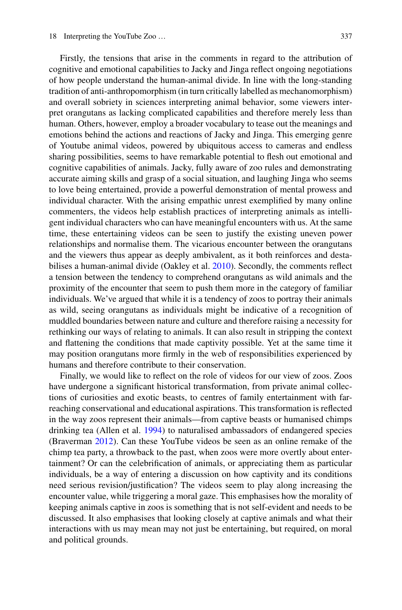Firstly, the tensions that arise in the comments in regard to the attribution of cognitive and emotional capabilities to Jacky and Jinga reflect ongoing negotiations of how people understand the human-animal divide. In line with the long-standing tradition of anti-anthropomorphism (in turn critically labelled as mechanomorphism) and overall sobriety in sciences interpreting animal behavior, some viewers interpret orangutans as lacking complicated capabilities and therefore merely less than human. Others, however, employ a broader vocabulary to tease out the meanings and emotions behind the actions and reactions of Jacky and Jinga. This emerging genre of Youtube animal videos, powered by ubiquitous access to cameras and endless sharing possibilities, seems to have remarkable potential to flesh out emotional and cognitive capabilities of animals. Jacky, fully aware of zoo rules and demonstrating accurate aiming skills and grasp of a social situation, and laughing Jinga who seems to love being entertained, provide a powerful demonstration of mental prowess and individual character. With the arising empathic unrest exemplified by many online commenters, the videos help establish practices of interpreting animals as intelligent individual characters who can have meaningful encounters with us. At the same time, these entertaining videos can be seen to justify the existing uneven power relationships and normalise them. The vicarious encounter between the orangutans and the viewers thus appear as deeply ambivalent, as it both reinforces and destabilises a human-animal divide (Oakley et al. [2010\)](#page-16-22). Secondly, the comments reflect a tension between the tendency to comprehend orangutans as wild animals and the proximity of the encounter that seem to push them more in the category of familiar individuals. We've argued that while it is a tendency of zoos to portray their animals as wild, seeing orangutans as individuals might be indicative of a recognition of muddled boundaries between nature and culture and therefore raising a necessity for rethinking our ways of relating to animals. It can also result in stripping the context and flattening the conditions that made captivity possible. Yet at the same time it may position orangutans more firmly in the web of responsibilities experienced by humans and therefore contribute to their conservation.

Finally, we would like to reflect on the role of videos for our view of zoos. Zoos have undergone a significant historical transformation, from private animal collections of curiosities and exotic beasts, to centres of family entertainment with farreaching conservational and educational aspirations. This transformation is reflected in the way zoos represent their animals—from captive beasts or humanised chimps drinking tea (Allen et al. [1994\)](#page-15-9) to naturalised ambassadors of endangered species (Braverman [2012\)](#page-15-6). Can these YouTube videos be seen as an online remake of the chimp tea party, a throwback to the past, when zoos were more overtly about entertainment? Or can the celebrification of animals, or appreciating them as particular individuals, be a way of entering a discussion on how captivity and its conditions need serious revision/justification? The videos seem to play along increasing the encounter value, while triggering a moral gaze. This emphasises how the morality of keeping animals captive in zoos is something that is not self-evident and needs to be discussed. It also emphasises that looking closely at captive animals and what their interactions with us may mean may not just be entertaining, but required, on moral and political grounds.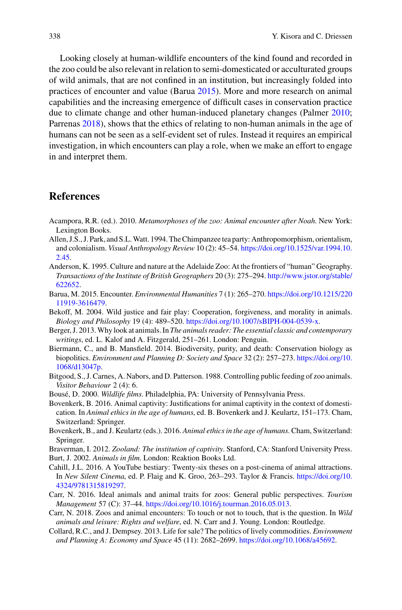Looking closely at human-wildlife encounters of the kind found and recorded in the zoo could be also relevant in relation to semi-domesticated or acculturated groups of wild animals, that are not confined in an institution, but increasingly folded into practices of encounter and value (Barua [2015\)](#page-15-13). More and more research on animal capabilities and the increasing emergence of difficult cases in conservation practice due to climate change and other human-induced planetary changes (Palmer [2010;](#page-16-4) Parrenas [2018\)](#page-16-19), shows that the ethics of relating to non-human animals in the age of humans can not be seen as a self-evident set of rules. Instead it requires an empirical investigation, in which encounters can play a role, when we make an effort to engage in and interpret them.

#### **References**

- <span id="page-15-3"></span>Acampora, R.R. (ed.). 2010. *Metamorphoses of the zoo: Animal encounter after Noah*. New York: Lexington Books.
- <span id="page-15-9"></span>Allen, J.S., J. Park, and S.L.Watt. 1994. The Chimpanzee tea party: Anthropomorphism, orientalism, and colonialism. *Visual Anthropology Review* 10 (2): 45–54. [https://doi.org/10.1525/var.1994.10.](https://doi.org/10.1525/var.1994.10.2.45) 2.45.
- <span id="page-15-2"></span>Anderson, K. 1995. Culture and nature at the Adelaide Zoo: At the frontiers of "human" Geography. *[Transactions of the Institute of British Geographers](http://www.jstor.org/stable/622652)* 20 (3): 275–294. http://www.jstor.org/stable/ 622652.
- <span id="page-15-13"></span>Barua, M. 2015. Encounter. *Environmental Humanities* 7 (1): 265–270. [https://doi.org/10.1215/220](https://doi.org/10.1215/22011919-3616479) 11919-3616479.
- <span id="page-15-10"></span>Bekoff, M. 2004. Wild justice and fair play: Cooperation, forgiveness, and morality in animals. *Biology and Philosophy* 19 (4): 489–520. [https://doi.org/10.1007/sBIPH-004-0539-x.](https://doi.org/10.1007/sBIPH-004-0539-x)
- <span id="page-15-15"></span>Berger, J. 2013.Why look at animals. In *The animals reader: The essential classic and contemporary writings*, ed. L. Kalof and A. Fitzgerald, 251–261. London: Penguin.
- <span id="page-15-12"></span>Biermann, C., and B. Mansfield. 2014. Biodiversity, purity, and death: Conservation biology as biopolitics. *[Environment and Planning D: Society and Space](https://doi.org/10.1068/d13047p)* 32 (2): 257–273. https://doi.org/10. 1068/d13047p.
- <span id="page-15-7"></span>Bitgood, S., J. Carnes, A. Nabors, and D. Patterson. 1988. Controlling public feeding of zoo animals. *Visitor Behaviour* 2 (4): 6.
- <span id="page-15-0"></span>Bousé, D. 2000. *Wildlife films*. Philadelphia, PA: University of Pennsylvania Press.
- <span id="page-15-5"></span>Bovenkerk, B. 2016. Animal captivity: Justifications for animal captivity in the context of domestication. In *Animal ethics in the age of humans*, ed. B. Bovenkerk and J. Keulartz, 151–173. Cham, Switzerland: Springer.
- <span id="page-15-4"></span>Bovenkerk, B., and J. Keulartz (eds.). 2016. *Animal ethics in the age of humans*. Cham, Switzerland: Springer.
- <span id="page-15-6"></span>Braverman, I. 2012. *Zooland: The institution of captivity*. Stanford, CA: Stanford University Press.
- <span id="page-15-1"></span>Burt, J. 2002. *Animals in film*. London: Reaktion Books Ltd.
- <span id="page-15-16"></span>Cahill, J.L. 2016. A YouTube bestiary: Twenty-six theses on a post-cinema of animal attractions. In *New Silent Cinema*[, ed. P. Flaig and K. Groo, 263–293. Taylor & Francis.](https://doi.org/10.4324/9781315819297) https://doi.org/10. 4324/9781315819297.
- <span id="page-15-8"></span>Carr, N. 2016. Ideal animals and animal traits for zoos: General public perspectives. *Tourism Management* 57 (C): 37–44. [https://doi.org/10.1016/j.tourman.2016.05.013.](https://doi.org/10.1016/j.tourman.2016.05.013)
- <span id="page-15-11"></span>Carr, N. 2018. Zoos and animal encounters: To touch or not to touch, that is the question. In *Wild animals and leisure: Rights and welfare*, ed. N. Carr and J. Young. London: Routledge.
- <span id="page-15-14"></span>Collard, R.C., and J. Dempsey. 2013. Life for sale? The politics of lively commodities. *Environment and Planning A: Economy and Space* 45 (11): 2682–2699. [https://doi.org/10.1068/a45692.](https://doi.org/10.1068/a45692)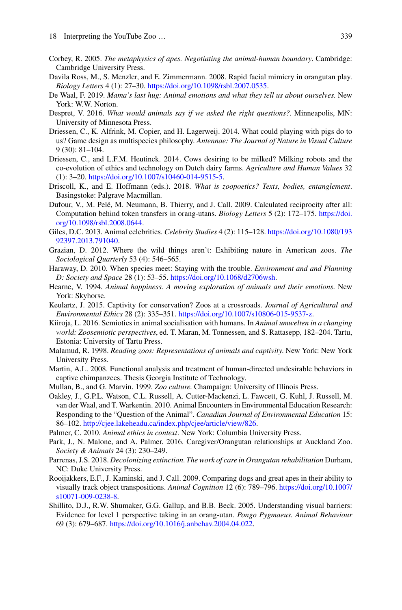- <span id="page-16-10"></span>Corbey, R. 2005. *The metaphysics of apes. Negotiating the animal-human boundary*. Cambridge: Cambridge University Press.
- <span id="page-16-15"></span>Davila Ross, M., S. Menzler, and E. Zimmermann. 2008. Rapid facial mimicry in orangutan play. *Biology Letters* 4 (1): 27–30. [https://doi.org/10.1098/rsbl.2007.0535.](https://doi.org/10.1098/rsbl.2007.0535)
- <span id="page-16-11"></span>De Waal, F. 2019. *Mama's last hug: Animal emotions and what they tell us about ourselves*. New York: W.W. Norton.
- <span id="page-16-2"></span>Despret, V. 2016. *What would animals say if we asked the right questions?*. Minneapolis, MN: University of Minnesota Press.
- <span id="page-16-1"></span>Driessen, C., K. Alfrink, M. Copier, and H. Lagerweij. 2014. What could playing with pigs do to us? Game design as multispecies philosophy. *Antennae: The Journal of Nature in Visual Culture* 9 (30): 81–104.
- <span id="page-16-8"></span>Driessen, C., and L.F.M. Heutinck. 2014. Cows desiring to be milked? Milking robots and the co-evolution of ethics and technology on Dutch dairy farms. *Agriculture and Human Values* 32 (1): 3–20. [https://doi.org/10.1007/s10460-014-9515-5.](https://doi.org/10.1007/s10460-014-9515-5)
- <span id="page-16-0"></span>Driscoll, K., and E. Hoffmann (eds.). 2018. *What is zoopoetics? Texts, bodies, entanglement*. Basingstoke: Palgrave Macmillan.
- <span id="page-16-13"></span>Dufour, V., M. Pelé, M. Neumann, B. Thierry, and J. Call. 2009. Calculated reciprocity after all: [Computation behind token transfers in orang-utans.](https://doi.org/10.1098/rsbl.2008.0644) *Biology Letters* 5 (2): 172–175. https://doi. org/10.1098/rsbl.2008.0644.
- <span id="page-16-21"></span>[Giles, D.C. 2013. Animal celebrities.](https://doi.org/10.1080/19392397.2013.791040) *Celebrity Studies* 4 (2): 115–128. https://doi.org/10.1080/193 92397.2013.791040.
- <span id="page-16-18"></span>Grazian, D. 2012. Where the wild things aren't: Exhibiting nature in American zoos. *The Sociological Quarterly* 53 (4): 546–565.
- <span id="page-16-20"></span>Haraway, D. 2010. When species meet: Staying with the trouble. *Environment and and Planning D: Society and Space* 28 (1): 53–55. [https://doi.org/10.1068/d2706wsh.](https://doi.org/10.1068/d2706wsh)
- <span id="page-16-16"></span>Hearne, V. 1994. *Animal happiness. A moving exploration of animals and their emotions*. New York: Skyhorse.
- <span id="page-16-7"></span>Keulartz, J. 2015. Captivity for conservation? Zoos at a crossroads. *Journal of Agricultural and Environmental Ethics* 28 (2): 335–351. [https://doi.org/10.1007/s10806-015-9537-z.](https://doi.org/10.1007/s10806-015-9537-z)
- <span id="page-16-5"></span>Kiiroja, L. 2016. Semiotics in animal socialisation with humans. In *Animal umwelten in a changing world: Zoosemiotic perspectives*, ed. T. Maran, M. Tonnessen, and S. Rattasepp, 182–204. Tartu, Estonia: University of Tartu Press.
- <span id="page-16-3"></span>Malamud, R. 1998. *Reading zoos: Representations of animals and captivity*. New York: New York University Press.
- <span id="page-16-9"></span>Martin, A.L. 2008. Functional analysis and treatment of human-directed undesirable behaviors in captive chimpanzees. Thesis Georgia Institute of Technology.
- <span id="page-16-17"></span>Mullan, B., and G. Marvin. 1999. *Zoo culture*. Champaign: University of Illinois Press.
- <span id="page-16-22"></span>Oakley, J., G.P.L. Watson, C.L. Russell, A. Cutter-Mackenzi, L. Fawcett, G. Kuhl, J. Russell, M. van der Waal, and T. Warkentin. 2010. Animal Encounters in Environmental Education Research: Responding to the "Question of the Animal". *Canadian Journal of Environmental Education* 15: 86–102. [http://cjee.lakeheadu.ca/index.php/cjee/article/view/826.](http://cjee.lakeheadu.ca/index.php/cjee/article/view/826)
- <span id="page-16-4"></span>Palmer, C. 2010. *Animal ethics in context*. New York: Columbia University Press.
- <span id="page-16-6"></span>Park, J., N. Malone, and A. Palmer. 2016. Caregiver/Orangutan relationships at Auckland Zoo. *Society & Animals* 24 (3): 230–249.
- <span id="page-16-19"></span>Parrenas, J.S. 2018. *Decolonizing extinction*. *The work of care in Orangutan rehabilitation* Durham, NC: Duke University Press.
- <span id="page-16-14"></span>Rooijakkers, E.F., J. Kaminski, and J. Call. 2009. Comparing dogs and great apes in their ability to [visually track object transpositions.](https://doi.org/10.1007/s10071-009-0238-8) *Animal Cognition* 12 (6): 789–796. https://doi.org/10.1007/ s10071-009-0238-8.
- <span id="page-16-12"></span>Shillito, D.J., R.W. Shumaker, G.G. Gallup, and B.B. Beck. 2005. Understanding visual barriers: Evidence for level 1 perspective taking in an orang-utan. *Pongo Pygmaeus. Animal Behaviour* 69 (3): 679–687. [https://doi.org/10.1016/j.anbehav.2004.04.022.](https://doi.org/10.1016/j.anbehav.2004.04.022)